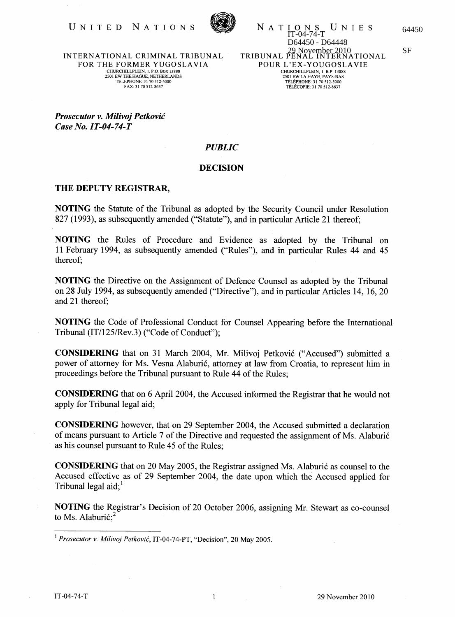

I O N S U N I E S 64450<br>IT-04-74-T D64450 - D64448 29 November 2010 SF TRIBUNAL PENAL INTERNATIONAL NATIONS POUR L'EX-YOUGOSLAVIE CHURCHILLPLEIN, 1. B.P. 13888<br>2501 EW LA HAYE, PAYS-BAS TELEPHONE: 31 70512-5000 TELECOPlE: 3170512-8637

INTERNATIONAL CRIMINAL TRIBUNAL FOR THE FORMER YUGOSLAVIA CHURCffiLLPLEIN, 1. P.O. BOX 13888 2501 EW THE HAGUE, NETHERLANDS TELEPHONE: 31 70 512-5000 FAX: 31 70 512-8637

*Prosecutor v. Milivoj Petkovic Case No. IT-04-74-T* 

## *PUBLIC*

## DECISION

## THE DEPUTY REGISTRAR,

NOTING the Statute of the Tribunal as adopted by the Security Council under Resolution 827 (1993), as subsequently amended ("Statute"), and in particular Article 21 thereof;

NOTING the Rules of Procedure and Evidence as adopted by the Tribunal on 11 February 1994, as subsequently amended ("Rules"), and in particular Rules 44 and 45 thereof;

NOTING the Directive on the Assignment of Defence Counsel as adopted by the Tribunal on 28 July 1994, as subsequently amended ("Directive"), and in particular Articles 14, 16, 20 and 21 thereof;

NOTING the Code of Professional Conduct for Counsel Appearing before the International Tribunal (IT/125/Rev.3) ("Code of Conduct");

CONSIDERING that on 31 March 2004, Mr. Milivoj Petkovic ("Accused") submitted a power of attorney for Ms. Vesna Alaburic, attorney at law from Croatia, to represent him in proceedings before the Tribunal pursuant to Rule 44 of the Rules;

CONSIDERING that on 6 April 2004, the Accused informed the Registrar that he would not apply for Tribunal legal aid;

CONSIDERING however, that on 29 September 2004, the Accused submitted a declaration of means pursuant to Article 7 of the Directive and requested the assignment of Ms. Alaburic as his counsel pursuant to Rule 45 of the Rules;

CONSIDERING that on 20 May 2005, the Registrar assigned Ms. Alaburic as counsel to the Accused effective as of 29 September 2004, the date upon which the Accused applied for Tribunal legal aid: $<sup>1</sup>$ </sup>

NOTING the Registrar's Decision of 20 October 2006, assigning Mr. Stewart as co-counsel to Ms. Alaburić: $2$ 

<sup>1</sup>*Prosecutorv. Milivoj Petkovic,* IT-04-74-PT, "Decision", 20 May 2005.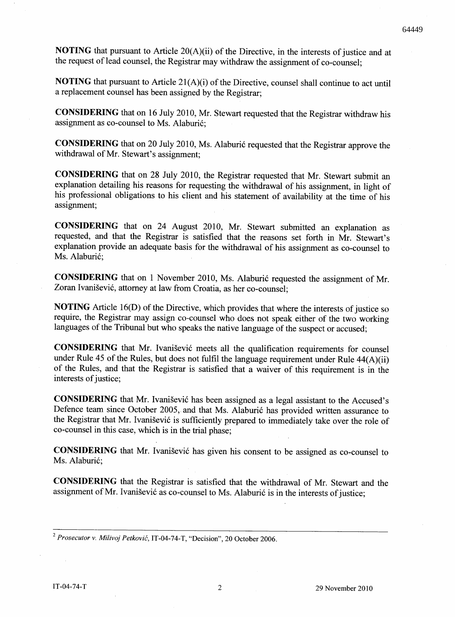**NOTING** that pursuant to Article 20(A)(ii) of the Directive, in the interests of justice and at the request of lead counsel, the Registrar may withdraw the assignment of co-counsel;

**NOTING** that pursuant to Article 21(A)(i) of the Directive, counsel shall continue to act until a replacement counsel has been assigned by the Registrar;

**CONSIDERING** that on 16 July 2010, Mr. Stewart requested that the Registrar withdraw his assignment as co-counsel to Ms. Alaburic;

**CONSIDERING** that on 20 July 2010, Ms. Alaburic requested that the Registrar approve the withdrawal of Mr. Stewart's assignment;

**CONSIDERING** that on 28 July 2010, the Registrar requested that Mr. Stewart submit an explanation detailing his reasons for requesting the withdrawal of his assignment, in light of his professional obligations to his client and his statement of availability at the time of his assignment;

**CONSIDERING** that on 24 August 2010, Mr. Stewart submitted an explanation as requested, and that the Registrar is satisfied that the reasons set forth in Mr. Stewart's explanation provide an adequate basis for the withdrawal of his assignment as co-counsel to Ms. Alaburić:

**CONSIDERING** that on 1 November 2010, Ms. Alaburic requested the assignment of Mr. Zoran Ivanisevic, attorney at law from Croatia, as her co-counsel;

**NOTING** Article 16(D) of the Directive, which provides that where the interests of justice so require, the Registrar may assign co-counsel who does not speak either of the two working languages of the Tribunal but who speaks the native language of the suspect or accused;

**CONSIDERING** that Mr. Ivanisevic meets all the qualification requirements for counsel under Rule 45 of the Rules, but does not fulfil the language requirement under Rule 44(A)(ii) of the Rules, and that the Registrar is satisfied that a waiver of this requirement is in the interests of justice;

**CONSIDERING** that Mr. Ivanisevic has been assigned as a legal assistant to the Accused's Defence team since October 2005, and that Ms. Alaburić has provided written assurance to the Registrar that Mr. Ivanisevic is sufficiently prepared to immediately take over the role of co-counsel in this case, which is in the trial phase;

**CONSIDERING** that Mr. Ivanisevic has given his consent to be assigned as co-counsel to Ms. Alaburić;

**CONSIDERING** that the Registrar is satisfied that the withdrawal of Mr. Stewart and the assignment of Mr. Ivanišević as co-counsel to Ms. Alaburić is in the interests of justice;

*<sup>2</sup> Prosecutor* v. *Milivoj Petkovic,* IT-04-74-T, "Decision", 20 October 2006.